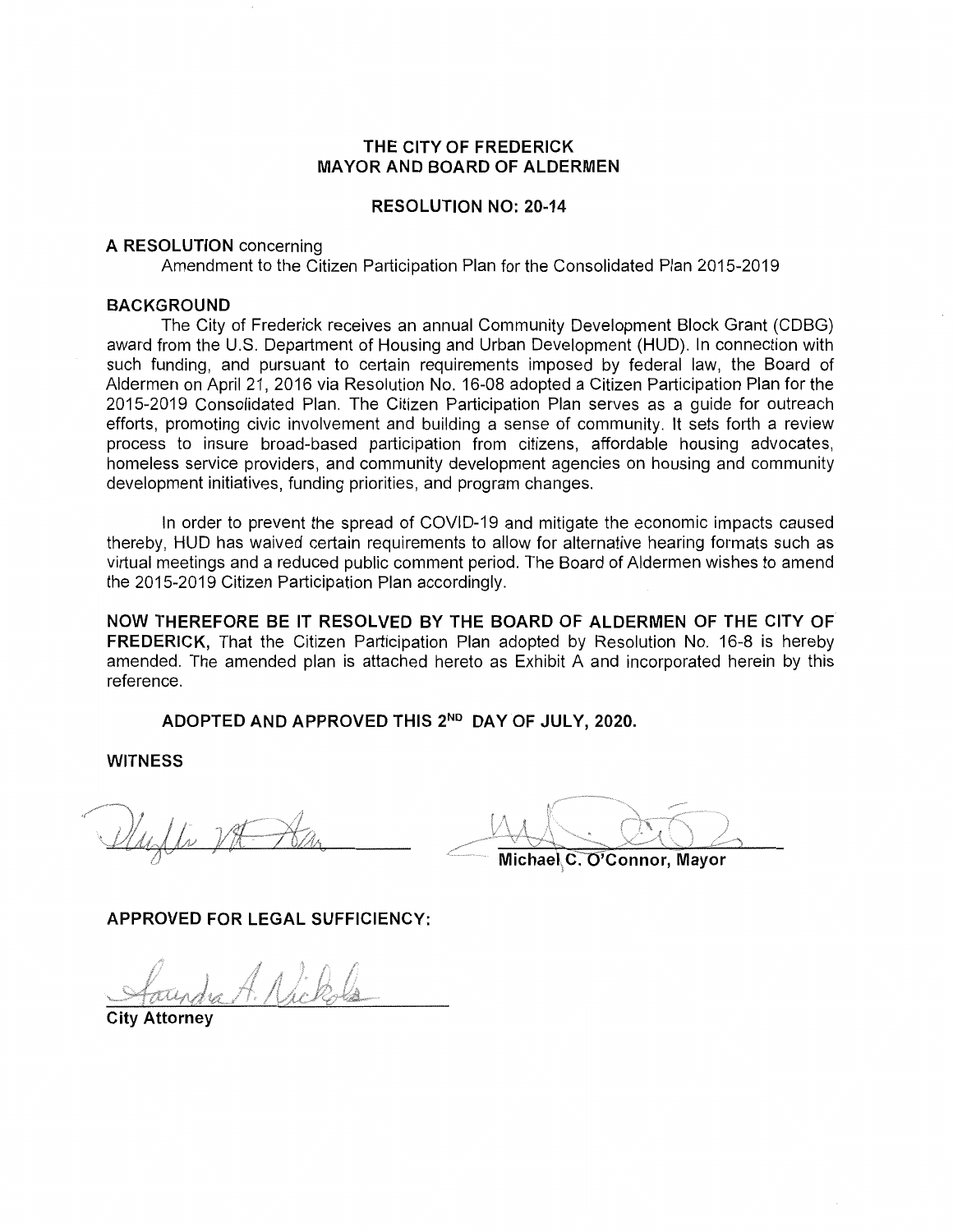### **THE CITY OF FREDERICK MAYOR AND BOARD OF ALDERMEN**

### **RESOLUTION NO: 20-14**

#### **A RESOLUTION** concerning

Amendment to the Citizen Participation Plan for the Consolidated Plan 2015-2019

#### **BACKGROUND**

The City of Frederick receives an annual Community Development Block Grant (CDBG) award from the U.S. Department of Housing and Urban Development (HUD). In connection with such funding, and pursuant to certain requirements imposed by federal law, the Board of Aldermen on April 21, 2016 via Resolution No. 16-08 adopted a Citizen Participation Plan for the 2015-2019 Consolidated Plan. The Citizen Participation Plan serves as a guide for outreach efforts, promoting civic involvement and building a sense of community. It sets forth a review process to insure broad-based participation from citizens, affordable housing advocates, homeless service providers, and community development agencies on housing and community development initiatives, funding priorities, and program changes.

In order to prevent the spread of COVID-19 and mitigate the economic impacts caused thereby, HUD has waived certain requirements to allow for alternative hearing formats such as virtual meetings and a reduced public comment period. The Board of Aldermen wishes to amend the 2015-2019 Citizen Participation Plan accordingly.

**NOW THEREFORE BE IT RESOLVED BY THE BOARD OF ALDERMEN OF THE CITY OF FREDERICK,** That the Citizen Participation Plan adopted by Resolution No. 16-8 is hereby amended. The amended plan is attached hereto as Exhibit A and incorporated herein by this reference.

**ADOPTED AND APPROVED THIS 2ND DAY OF JULY, 2020.** 

**WITNESS** 

**Michael C. O'Connor, Mayor** 

**APPROVED FOR LEGAL SUFFICIENCY:** 

A. Nicke

**City Attorney**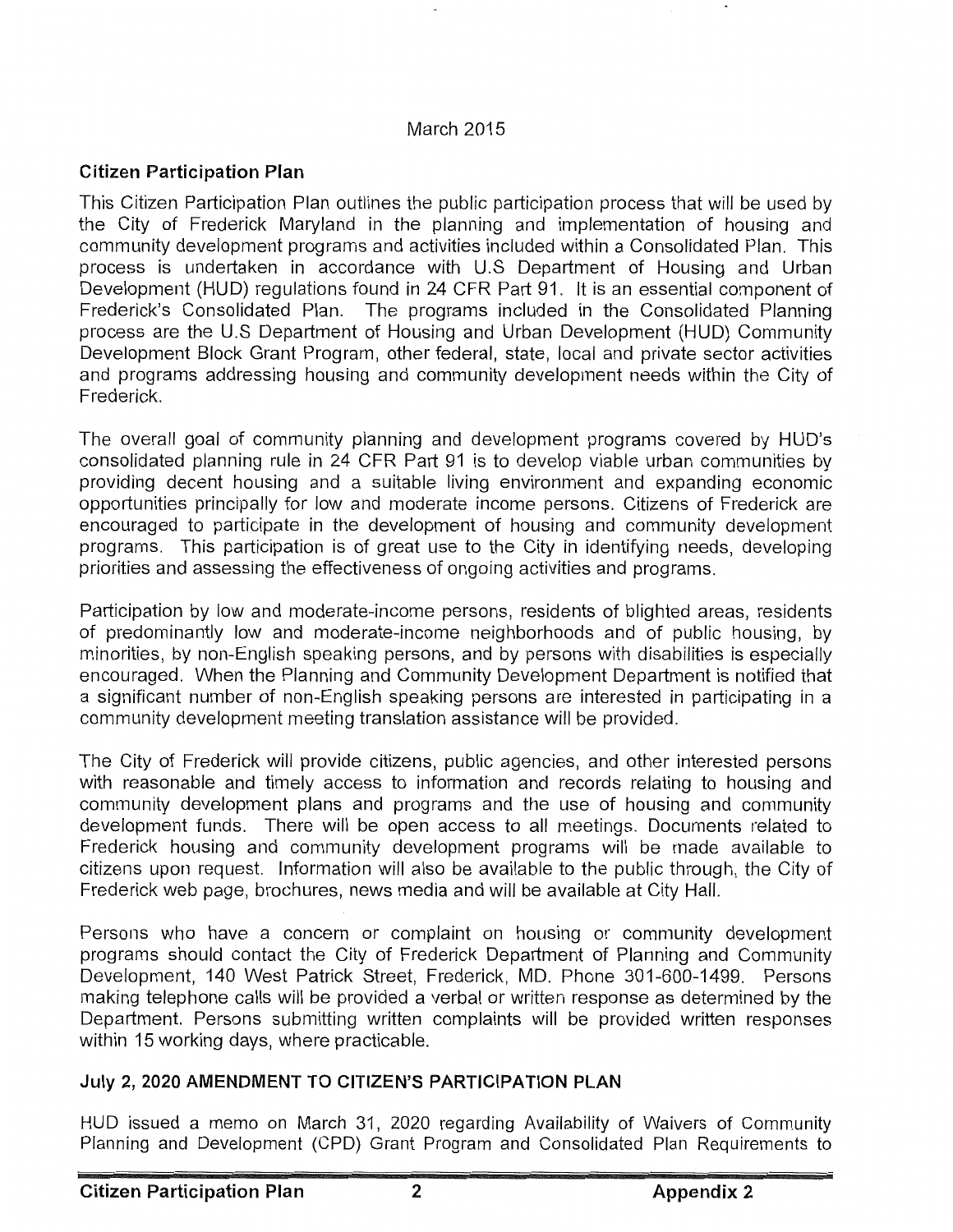### March 2015

## **Citizen Participation Plan**

This Citizen Participation Plan outlines the public participation process that will be used by the City of Frederick Maryland in the planning and implementation of housing and community development programs and activities included within a Consolidated Plan. This process is undertaken in accordance with U.S Department of Housing and Urban Development (HUD) regulations found in 24 CFR Part 91. It is an essential component of Frederick's Consolidated Plan. The programs included in the Consolidated Planning process are the U.S Department of Housing and Urban Development (HUD) Community Development Block Grant Program, other federal, state, local and private sector activities and programs addressing housing and community development needs within the City of Frederick.

The overall goal of community planning and development programs covered by HUD's consolidated planning rule in 24 CFR Part 91 is to develop viable urban communities by providing decent housing and a suitable living environment and expanding economic opportunities principally for low and moderate income persons. Citizens of Frederick are encouraged to participate in the development of housing and community development programs. This participation is of great use to the City in identifying needs, developing priorities and assessing the effectiveness of ongoing activities and programs.

Participation by low and moderate-income persons, residents of blighted areas, residents of predominantly low and moderate-income neighborhoods and of public housing, by minorities, by non-English speaking persons, and by persons with disabilities is especially encouraged. When the Planning and Community Development Department is notified that a significant number of non-English speaking persons are interested in participating in a community development meeting translation assistance will be provided.

The City of Frederick will provide citizens, public agencies, and other interested persons with reasonable and timely access to information and records relating to housing and community development plans and programs and the use of housing and community development funds. There will be open access to all meetings. Documents related to Frederick housing and community development programs will be made available to citizens upon request. Information will also be available to the public through, the City of Frederick web page, brochures, news media and will be available at City Hall.

Persons who have a concern or complaint on housing or community development programs should contact the City of Frederick Department of Planning and Community Development, 140 West Patrick Street, Frederick, MD. Phone 301-600-1499. Persons making telephone calls will be provided a verbal or written response as determined by the Department. Persons submitting written complaints will be provided written responses within 15 working days, where practicable.

### **July 2, 2020 AMENDMENT TO CITIZEN'S PARTICIPATION PLAN**

HUD issued a memo on March 31, 2020 regarding Availability of Waivers of Community Planning and Development (CPD) Grant Program and Consolidated Plan Requirements to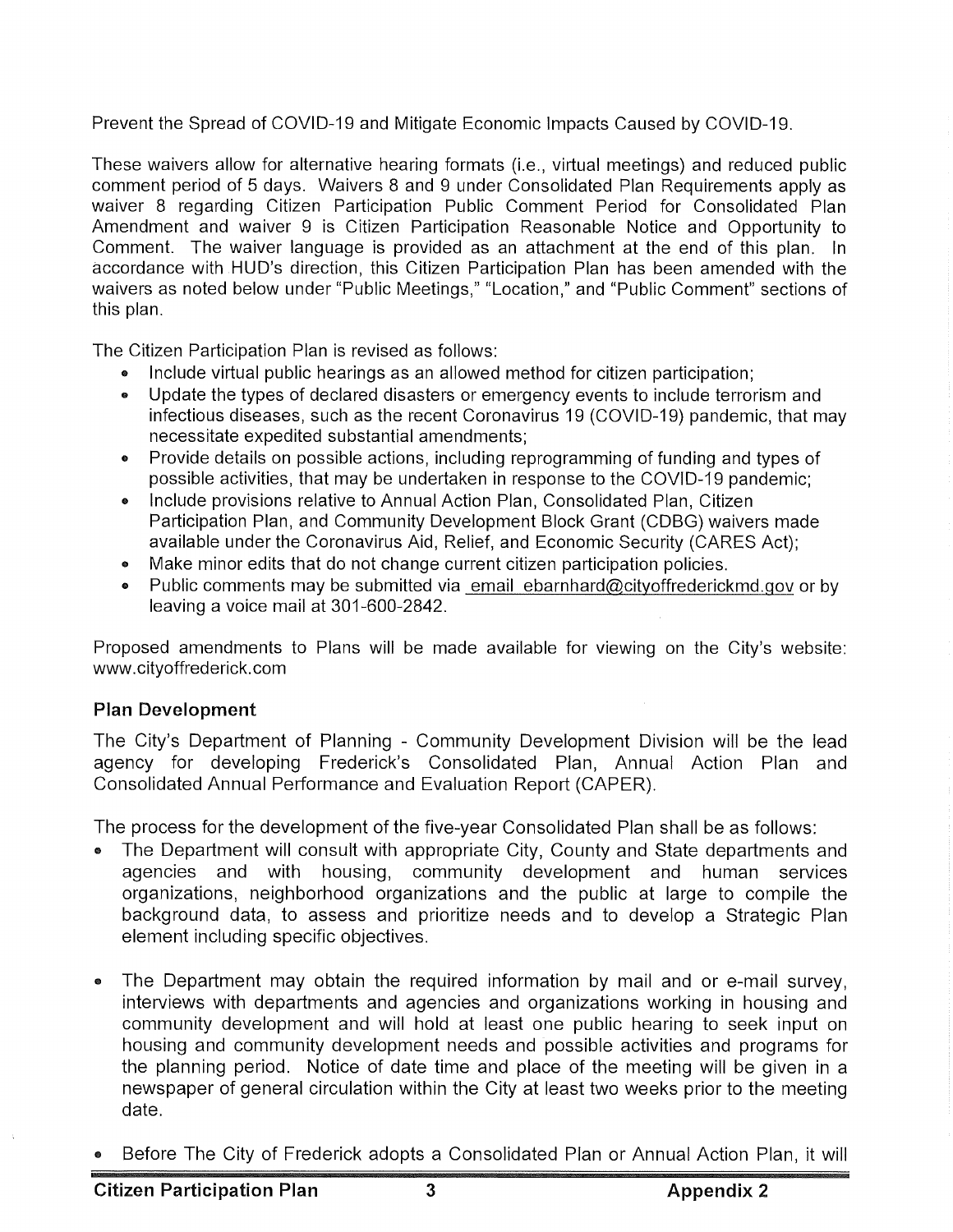Prevent the Spread of COVID-19 and Mitigate Economic Impacts Caused by COVID-19.

These waivers allow for alternative hearing formats (i.e., virtual meetings) and reduced public comment period of 5 days. Waivers 8 and 9 under Consolidated Plan Requirements apply as waiver 8 regarding Citizen Participation Public Comment Period for Consolidated Plan Amendment and waiver 9 is Citizen Participation Reasonable Notice and Opportunity to Comment. The waiver language is provided as an attachment at the end of this plan. In accordance with HUD's direction, this Citizen Participation Plan has been amended with the waivers as noted below under "Public Meetings," "Location," and "Public Comment" sections of this plan.

The Citizen Participation Plan is revised as follows:

- Include virtual public hearings as an allowed method for citizen participation;
- Update the types of declared disasters or emergency events to include terrorism and infectious diseases, such as the recent Coronavirus 19 (COVID-19) pandemic, that may necessitate expedited substantial amendments;
- Provide details on possible actions, including reprogramming of funding and types of  $\bullet$ possible activities, that may be undertaken in response to the COVID-19 pandemic;
- Include provisions relative to Annual Action Plan, Consolidated Plan, Citizen  $\bullet$ Participation Plan, and Community Development Block Grant (CDBG) waivers made available under the Coronavirus Aid, Relief, and Economic Security (CARES Act);
- Make minor edits that do not change current citizen participation policies.  $\bullet$
- $\bullet$ Public comments may be submitted via email ebarnhard@cityoffrederickmd.gov or by leaving a voice mail at 301-600-2842.

Proposed amendments to Plans will be made available for viewing on the City's website: www.cityoffrederick.com

# **Plan Development**

The City's Department of Planning - Community Development Division will be the lead agency for developing Frederick's Consolidated Plan, Annual Action Plan and Consolidated Annual Performance and Evaluation Report (CAPER).

The process for the development of the five-year Consolidated Plan shall be as follows:

- The Department will consult with appropriate City, County and State departments and agencies and with housing, community development and human services organizations, neighborhood organizations and the public at large to compile the background data, to assess and prioritize needs and to develop a Strategic Plan element including specific objectives.
- The Department may obtain the required information by mail and or e-mail survey, interviews with departments and agencies and organizations working in housing and community development and will hold at least one public hearing to seek input on housing and community development needs and possible activities and programs for the planning period. Notice of date time and place of the meeting will be given in a newspaper of general circulation within the City at least two weeks prior to the meeting date.
- Before The City of Frederick adopts a Consolidated Plan or Annual Action Plan, it will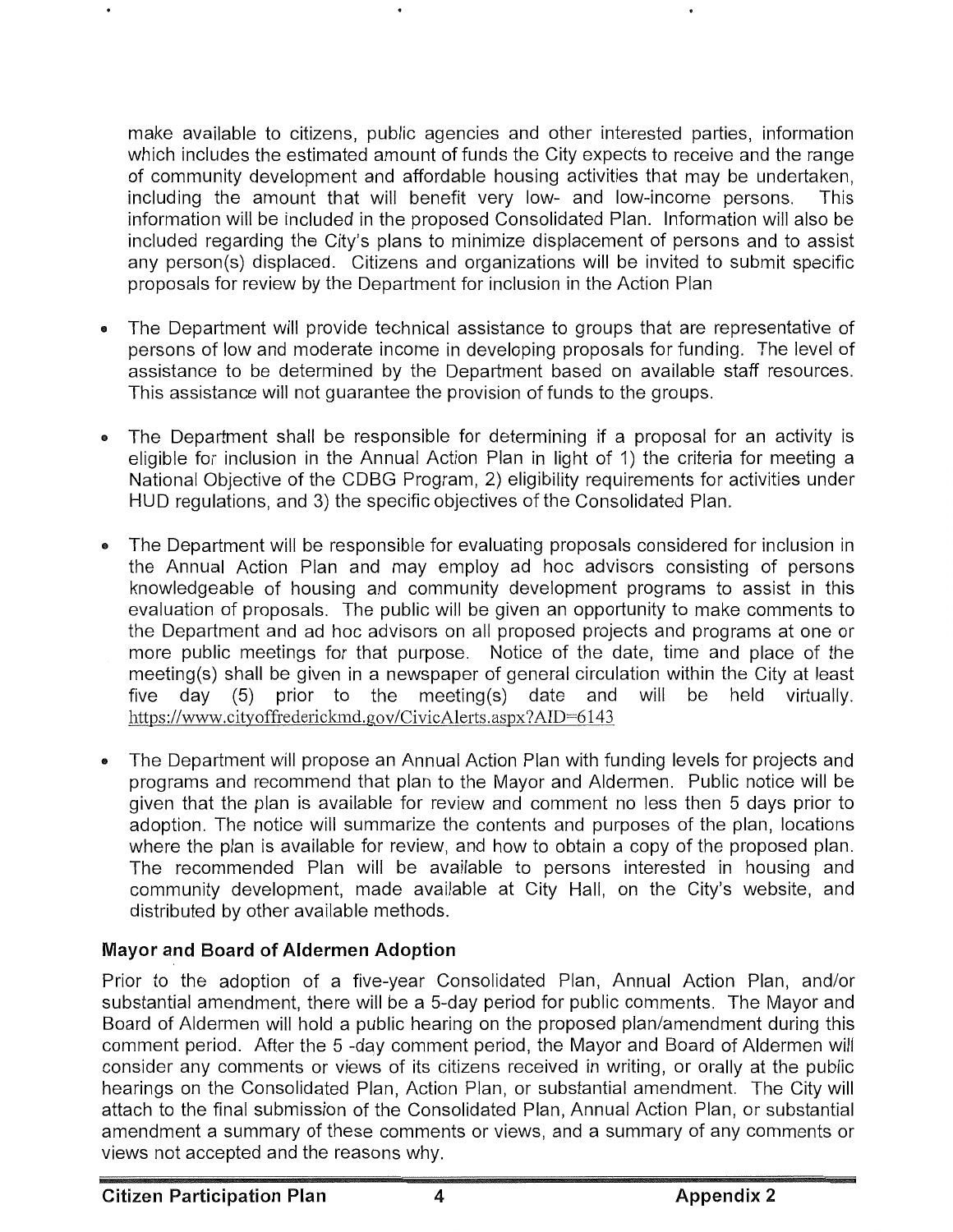make available to citizens, public agencies and other interested parties, information which includes the estimated amount of funds the City expects to receive and the range of community development and affordable housing activities that may be undertaken, including the amount that will benefit very low- and low-income persons. This information will be included in the proposed Consolidated Plan. Information will also be included regarding the City's plans to minimize displacement of persons and to assist any person(s) displaced. Citizens and organizations will be invited to submit specific proposals for review by the Department for inclusion in the Action Plan

- The Department will provide technical assistance to groups that are representative of persons of low and moderate income in developing proposals for funding. The level of assistance to be determined by the Department based on available staff resources. This assistance will not guarantee the provision of funds to the groups.
- The Department shall be responsible for determining if a proposal for an activity is eligible for inclusion in the Annual Action Plan in light of 1) the criteria for meeting a National Objective of the CDBG Program, 2) eligibility requirements for activities under HUD regulations, and 3) the specific objectives of the Consolidated Plan.
- The Department will be responsible for evaluating proposals considered for inclusion in the Annual Action Plan and may employ ad hoc advisors consisting of persons knowledgeable of housing and community development programs to assist in this evaluation of proposals. The public will be given an opportunity to make comments to the Department and ad hoc advisors on all proposed projects and programs at one or more public meetings for that purpose. Notice of the date, time and place of the meeting(s) shall be given in a newspaper of general circulation within the City at least five day (5) prior to the meeting(s) date and will be held virtually. https://www.cityoffrederickmd.gov/CivicAlerts.aspx?AID=6l43
- The Department will propose an Annual Action Plan with funding levels for projects and programs and recommend that plan to the Mayor and Aldermen. Public notice will be given that the plan is available for review and comment no less then 5 days prior to adoption. The notice will summarize the contents and purposes of the plan, locations where the plan is available for review, and how to obtain a copy of the proposed plan. The recommended Plan will be available to persons interested in housing and community development, made available at City Hall, on the City's website, and distributed by other available methods.

# **Mayor and Board of Aldermen Adoption**

Prior to the adoption of a five-year Consolidated Plan, Annual Action Plan, and/or substantial amendment, there will be a 5-day period for public comments. The Mayor and Board of Aldermen will hold a public hearing on the proposed plan/amendment during this comment period. After the 5 -day comment period, the Mayor and Board of Aldermen will consider any comments or views of its citizens received in writing, or orally at the public hearings on the Consolidated Plan, Action Plan, or substantial amendment. The City will attach to the final submission of the Consolidated Plan, Annual Action Plan, or substantial amendment a summary of these comments or views, and a summary of any comments or views not accepted and the reasons why.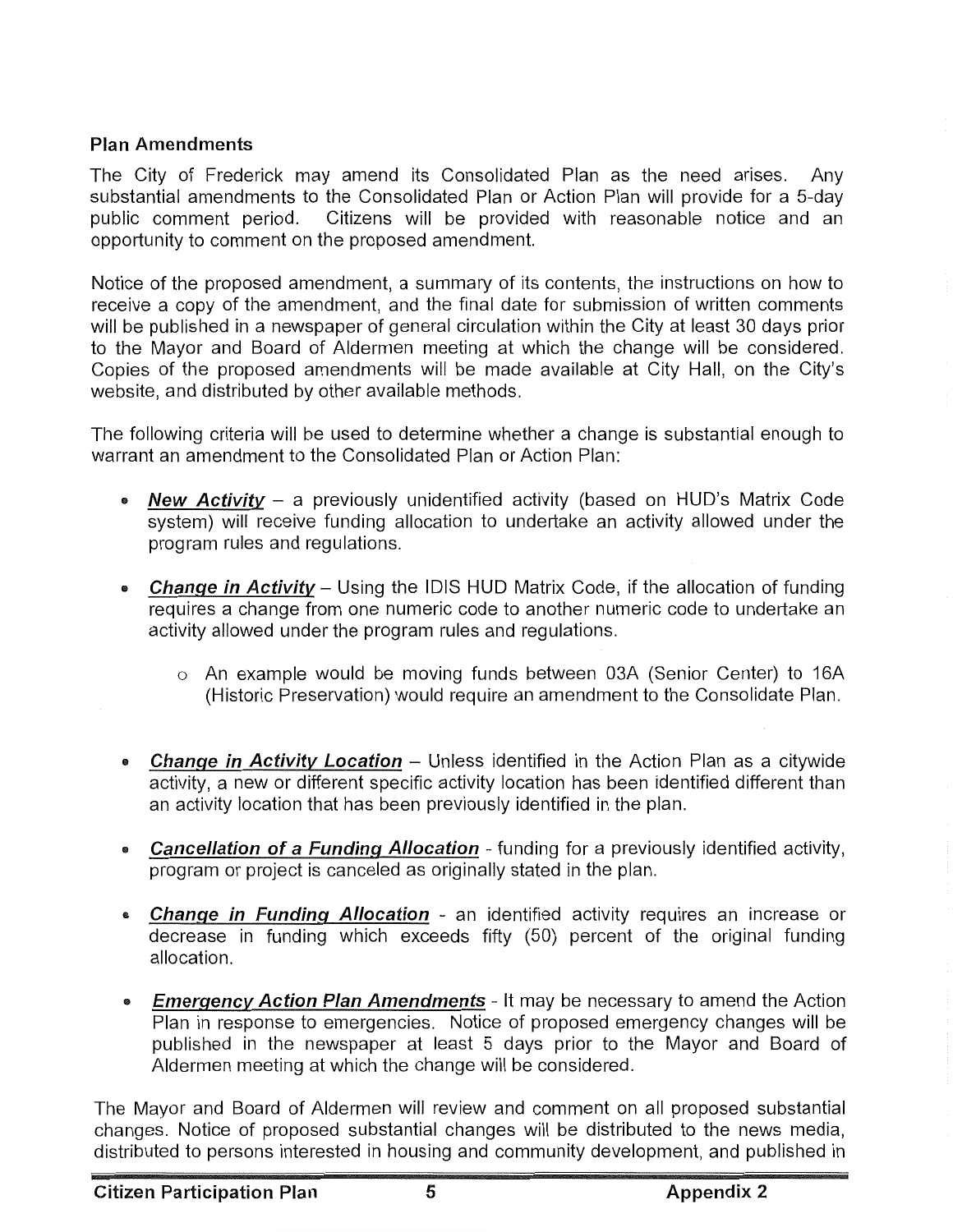# **Plan Amendments**

The City of Frederick may amend its Consolidated Plan as the need arises. Any substantial amendments to the Consolidated Plan or Action Plan will provide for a 5-day public comment period. Citizens will be provided with reasonable notice and an opportunity to comment on the proposed amendment.

Notice of the proposed amendment, a summary of its contents, the instructions on how to receive a copy of the amendment, and the final date for submission of written comments will be published in a newspaper of general circulation within the City at least 30 days prior to the Mayor and Board of Aldermen meeting at which the change will be considered. Copies of the proposed amendments will be made available at City Hall, on the City's website, and distributed by other available methods.

The following criteria will be used to determine whether a change is substantial enough to warrant an amendment to the Consolidated Plan or Action Plan:

- **New Activity**  a previously unidentified activity (based on HUD's Matrix Code system) will receive funding allocation to undertake an activity allowed under the program rules and regulations.
- **Change in Activity** Using the IDIS HUD Matrix Code, if the allocation of funding requires a change from one numeric code to another numeric code to undertake an activity allowed under the program rules and regulations.
	- o An example would be moving funds between 03A (Senior Center) to 16A (Historic Preservation) would require an amendment to the Consolidate Plan.
- **Change in Activity Location** Unless identified in the Action Plan as a citywide activity, a new or different specific activity location has been identified different than an activity location that has been previously identified in the plan.
- **Cancellation of a Funding A/location**  funding for a previously identified activity, program or project is canceled as originally stated in the plan.
- **Change in Funding Allocation**  an identified activity requires an increase or decrease in funding which exceeds fifty (50) percent of the original funding allocation.
- **Emergency Action Plan Amendments** It may be necessary to amend the Action Plan in response to emergencies. Notice of proposed emergency changes will be published in the newspaper at least 5 days prior to the Mayor and Board of Aldermen meeting at which the change will be considered.

The Mayor and Board of Aldermen will review and comment on all proposed substantial changes. Notice of proposed substantial changes will be distributed to the news media, distributed to persons interested in housing and community development, and published in